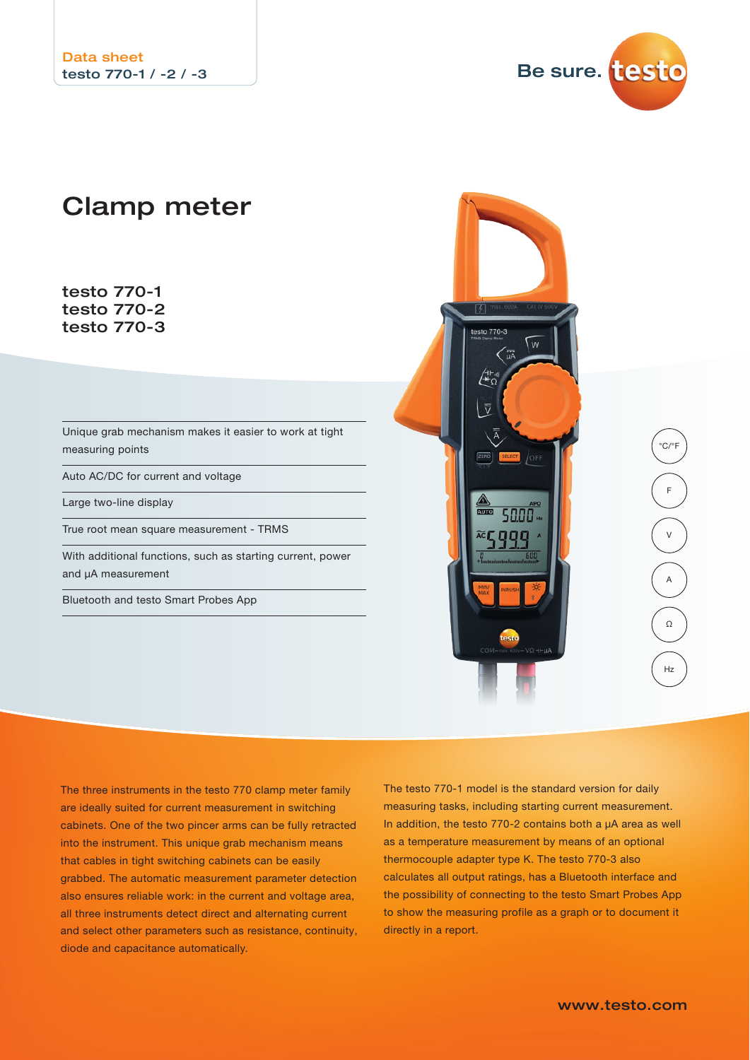Be sure. testo

# Clamp meter

testo 770-1 testo 770-2 testo 770-3

Unique grab mechanism makes it easier to work at tight measuring points

Auto AC/DC for current and voltage

Large two-line display

True root mean square measurement - TRMS

With additional functions, such as starting current, power and μA measurement

Bluetooth and testo Smart Probes App



The three instruments in the testo 770 clamp meter family are ideally suited for current measurement in switching cabinets. One of the two pincer arms can be fully retracted into the instrument. This unique grab mechanism means that cables in tight switching cabinets can be easily grabbed. The automatic measurement parameter detection also ensures reliable work: in the current and voltage area, all three instruments detect direct and alternating current and select other parameters such as resistance, continuity, diode and capacitance automatically.

The testo 770-1 model is the standard version for daily measuring tasks, including starting current measurement. In addition, the testo 770-2 contains both a µA area as well as a temperature measurement by means of an optional thermocouple adapter type K. The testo 770-3 also calculates all output ratings, has a Bluetooth interface and the possibility of connecting to the testo Smart Probes App to show the measuring profile as a graph or to document it directly in a report.